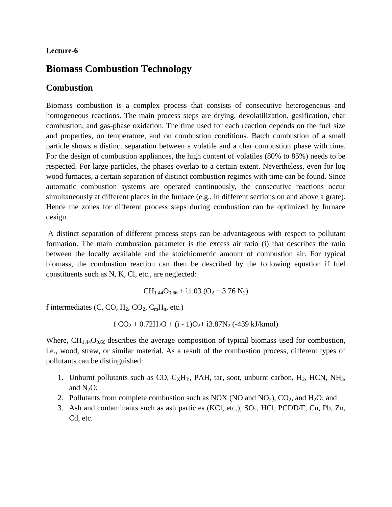#### **Lecture-6**

# **Biomass Combustion Technology**

### **Combustion**

Biomass combustion is a complex process that consists of consecutive heterogeneous and homogeneous reactions. The main process steps are drying, devolatilization, gasification, char combustion, and gas-phase oxidation. The time used for each reaction depends on the fuel size and properties, on temperature, and on combustion conditions. Batch combustion of a small particle shows a distinct separation between a volatile and a char combustion phase with time. For the design of combustion appliances, the high content of volatiles (80% to 85%) needs to be respected. For large particles, the phases overlap to a certain extent. Nevertheless, even for log wood furnaces, a certain separation of distinct combustion regimes with time can be found. Since automatic combustion systems are operated continuously, the consecutive reactions occur simultaneously at different places in the furnace (e.g., in different sections on and above a grate). Hence the zones for different process steps during combustion can be optimized by furnace design.

A distinct separation of different process steps can be advantageous with respect to pollutant formation. The main combustion parameter is the excess air ratio (ì) that describes the ratio between the locally available and the stoichiometric amount of combustion air. For typical biomass, the combustion reaction can then be described by the following equation if fuel constituents such as N, K, Cl, etc., are neglected:

$$
CH_{1.44}O_{0.66} + i1.03 (O_2 + 3.76 N_2)
$$

f intermediates  $(C, CO, H_2, CO_2, C_mH_n, etc.)$ 

$$
f\,CO_2+0.72H_2O+(i-1)O_2+ i3.87N_2\;(-439\;kJ/kmol)
$$

Where,  $CH<sub>1.44</sub>O<sub>0.66</sub>$  describes the average composition of typical biomass used for combustion, i.e., wood, straw, or similar material. As a result of the combustion process, different types of pollutants can be distinguished:

- 1. Unburnt pollutants such as CO,  $C_XH_Y$ , PAH, tar, soot, unburnt carbon,  $H_2$ , HCN, NH<sub>3</sub>, and  $N_2O$ ;
- 2. Pollutants from complete combustion such as NOX (NO and  $NO<sub>2</sub>$ ),  $CO<sub>2</sub>$ , and  $H<sub>2</sub>O$ ; and
- 3. Ash and contaminants such as ash particles (KCl, etc.), SO<sub>2</sub>, HCl, PCDD/F, Cu, Pb, Zn, Cd, etc.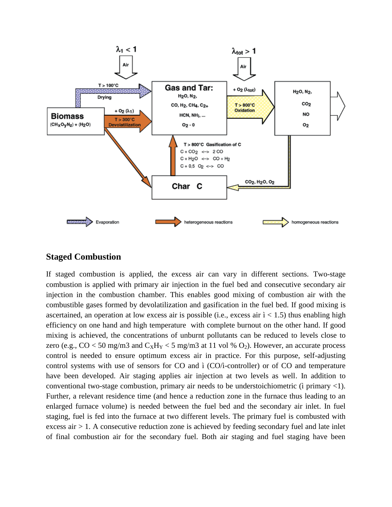

### **Staged Combustion**

If staged combustion is applied, the excess air can vary in different sections. Two-stage combustion is applied with primary air injection in the fuel bed and consecutive secondary air injection in the combustion chamber. This enables good mixing of combustion air with the combustible gases formed by devolatilization and gasification in the fuel bed. If good mixing is ascertained, an operation at low excess air is possible (i.e., excess air  $i < 1.5$ ) thus enabling high efficiency on one hand and high temperature with complete burnout on the other hand. If good mixing is achieved, the concentrations of unburnt pollutants can be reduced to levels close to zero (e.g.,  $CO < 50$  mg/m3 and  $C_xH_y < 5$  mg/m3 at 11 vol %  $O_2$ ). However, an accurate process control is needed to ensure optimum excess air in practice. For this purpose, self-adjusting control systems with use of sensors for CO and ì (CO/ì-controller) or of CO and temperature have been developed. Air staging applies air injection at two levels as well. In addition to conventional two-stage combustion, primary air needs to be understoichiometric (ì primary <1). Further, a relevant residence time (and hence a reduction zone in the furnace thus leading to an enlarged furnace volume) is needed between the fuel bed and the secondary air inlet. In fuel staging, fuel is fed into the furnace at two different levels. The primary fuel is combusted with excess air  $> 1$ . A consecutive reduction zone is achieved by feeding secondary fuel and late inlet of final combustion air for the secondary fuel. Both air staging and fuel staging have been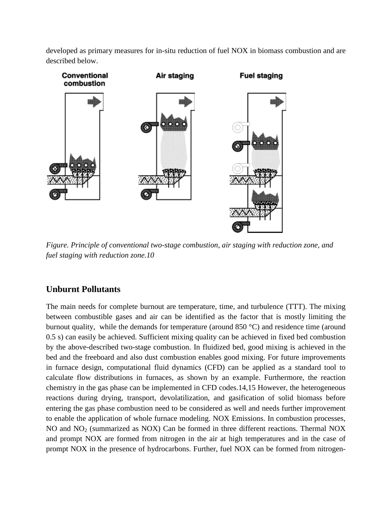developed as primary measures for in-situ reduction of fuel NOX in biomass combustion and are described below.



*Figure. Principle of conventional two-stage combustion, air staging with reduction zone, and fuel staging with reduction zone.10*

# **Unburnt Pollutants**

The main needs for complete burnout are temperature, time, and turbulence (TTT). The mixing between combustible gases and air can be identified as the factor that is mostly limiting the burnout quality, while the demands for temperature (around 850 °C) and residence time (around 0.5 s) can easily be achieved. Sufficient mixing quality can be achieved in fixed bed combustion by the above-described two-stage combustion. In fluidized bed, good mixing is achieved in the bed and the freeboard and also dust combustion enables good mixing. For future improvements in furnace design, computational fluid dynamics (CFD) can be applied as a standard tool to calculate flow distributions in furnaces, as shown by an example. Furthermore, the reaction chemistry in the gas phase can be implemented in CFD codes.14,15 However, the heterogeneous reactions during drying, transport, devolatilization, and gasification of solid biomass before entering the gas phase combustion need to be considered as well and needs further improvement to enable the application of whole furnace modeling. NOX Emissions. In combustion processes, NO and NO<sub>2</sub> (summarized as NOX) Can be formed in three different reactions. Thermal NOX and prompt NOX are formed from nitrogen in the air at high temperatures and in the case of prompt NOX in the presence of hydrocarbons. Further, fuel NOX can be formed from nitrogen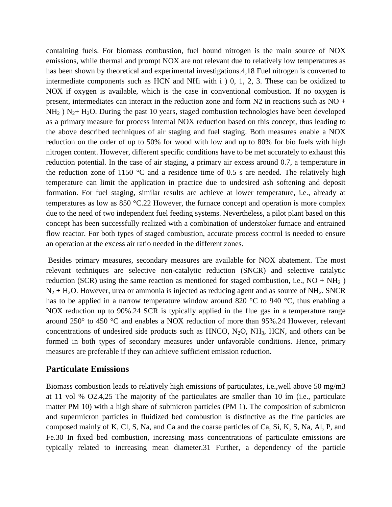containing fuels. For biomass combustion, fuel bound nitrogen is the main source of NOX emissions, while thermal and prompt NOX are not relevant due to relatively low temperatures as has been shown by theoretical and experimental investigations.4,18 Fuel nitrogen is converted to intermediate components such as HCN and NHi with i ) 0, 1, 2, 3. These can be oxidized to NOX if oxygen is available, which is the case in conventional combustion. If no oxygen is present, intermediates can interact in the reduction zone and form N2 in reactions such as NO +  $NH<sub>2</sub>$ ) N<sub>2</sub>+ H<sub>2</sub>O. During the past 10 years, staged combustion technologies have been developed as a primary measure for process internal NOX reduction based on this concept, thus leading to the above described techniques of air staging and fuel staging. Both measures enable a NOX reduction on the order of up to 50% for wood with low and up to 80% for bio fuels with high nitrogen content. However, different specific conditions have to be met accurately to exhaust this reduction potential. In the case of air staging, a primary air excess around 0.7, a temperature in the reduction zone of 1150  $\degree$ C and a residence time of 0.5 s are needed. The relatively high temperature can limit the application in practice due to undesired ash softening and deposit formation. For fuel staging, similar results are achieve at lower temperature, i.e., already at temperatures as low as 850 °C.22 However, the furnace concept and operation is more complex due to the need of two independent fuel feeding systems. Nevertheless, a pilot plant based on this concept has been successfully realized with a combination of understoker furnace and entrained flow reactor. For both types of staged combustion, accurate process control is needed to ensure an operation at the excess air ratio needed in the different zones.

Besides primary measures, secondary measures are available for NOX abatement. The most relevant techniques are selective non-catalytic reduction (SNCR) and selective catalytic reduction (SCR) using the same reaction as mentioned for staged combustion, i.e.,  $NO + NH_2$ )  $N_2$  + H<sub>2</sub>O. However, urea or ammonia is injected as reducing agent and as source of NH<sub>2</sub>. SNCR has to be applied in a narrow temperature window around 820 °C to 940 °C, thus enabling a NOX reduction up to 90%.24 SCR is typically applied in the flue gas in a temperature range around 250° to 450 °C and enables a NOX reduction of more than 95%.24 However, relevant concentrations of undesired side products such as  $HMCO$ ,  $N_2O$ ,  $NH_3$ ,  $HCN$ , and others can be formed in both types of secondary measures under unfavorable conditions. Hence, primary measures are preferable if they can achieve sufficient emission reduction.

### **Particulate Emissions**

Biomass combustion leads to relatively high emissions of particulates, i.e.,well above 50 mg/m3 at 11 vol % O2.4,25 The majority of the particulates are smaller than 10 ím (i.e., particulate matter PM 10) with a high share of submicron particles (PM 1). The composition of submicron and supermicron particles in fluidized bed combustion is distinctive as the fine particles are composed mainly of K, Cl, S, Na, and Ca and the coarse particles of Ca, Si, K, S, Na, Al, P, and Fe.30 In fixed bed combustion, increasing mass concentrations of particulate emissions are typically related to increasing mean diameter.31 Further, a dependency of the particle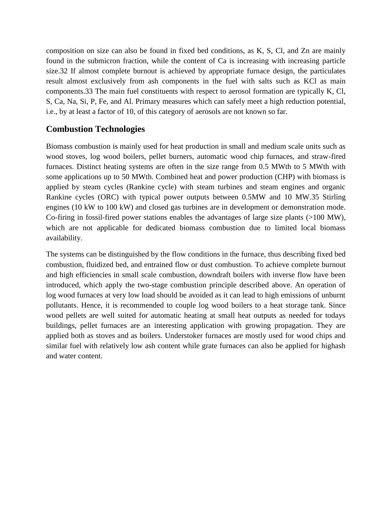composition on size can also be found in fixed bed conditions, as K, S, Cl, and Zn are mainly found in the submicron fraction, while the content of Ca is increasing with increasing particle size.32 If almost complete burnout is achieved by appropriate furnace design, the particulates result almost exclusively from ash components in the fuel with salts such as KCl as main components.33 The main fuel constituents with respect to aerosol formation are typically K, Cl, S, Ca, Na, Si, P, Fe, and Al. Primary measures which can safely meet a high reduction potential, i.e., by at least a factor of 10, of this category of aerosols are not known so far.

### **Combustion Technologies**

Biomass combustion is mainly used for heat production in small and medium scale units such as wood stoves, log wood boilers, pellet burners, automatic wood chip furnaces, and straw-fired furnaces. Distinct heating systems are often in the size range from 0.5 MWth to 5 MWth with some applications up to 50 MWth. Combined heat and power production (CHP) with biomass is applied by steam cycles (Rankine cycle) with steam turbines and steam engines and organic Rankine cycles (ORC) with typical power outputs between 0.5MW and 10 MW.35 Stirling engines (10 kW to 100 kW) and closed gas turbines are in development or demonstration mode. Co-firing in fossil-fired power stations enables the advantages of large size plants (>100 MW), which are not applicable for dedicated biomass combustion due to limited local biomass availability.

The systems can be distinguished by the flow conditions in the furnace, thus describing fixed bed combustion, fluidized bed, and entrained flow or dust combustion. To achieve complete burnout and high efficiencies in small scale combustion, downdraft boilers with inverse flow have been introduced, which apply the two-stage combustion principle described above. An operation of log wood furnaces at very low load should be avoided as it can lead to high emissions of unburnt pollutants. Hence, it is recommended to couple log wood boilers to a heat storage tank. Since wood pellets are well suited for automatic heating at small heat outputs as needed for todays buildings, pellet furnaces are an interesting application with growing propagation. They are applied both as stoves and as boilers. Understoker furnaces are mostly used for wood chips and similar fuel with relatively low ash content while grate furnaces can also be applied for highash and water content.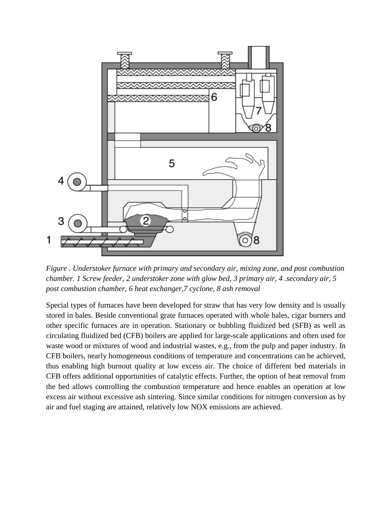

*Figure . Understoker furnace with primary and secondary air, mixing zone, and post combustion chamber. 1 Screw feeder, 2 understoker zone with glow bed, 3 primary air, 4 .secondary air, 5 post combustion chamber, 6 heat exchanger,7 cyclone, 8 ash removal*

Special types of furnaces have been developed for straw that has very low density and is usually stored in bales. Beside conventional grate furnaces operated with whole bales, cigar burners and other specific furnaces are in operation. Stationary or bubbling fluidized bed (SFB) as well as circulating fluidized bed (CFB) boilers are applied for large-scale applications and often used for waste wood or mixtures of wood and industrial wastes, e.g., from the pulp and paper industry. In CFB boilers, nearly homogeneous conditions of temperature and concentrations can be achieved, thus enabling high burnout quality at low excess air. The choice of different bed materials in CFB offers additional opportunities of catalytic effects. Further, the option of heat removal from the bed allows controlling the combustion temperature and hence enables an operation at low excess air without excessive ash sintering. Since similar conditions for nitrogen conversion as by air and fuel staging are attained, relatively low NOX emissions are achieved.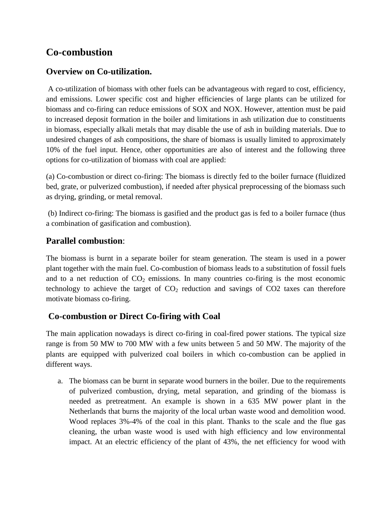# **Co-combustion**

# **Overview on Co-utilization.**

A co-utilization of biomass with other fuels can be advantageous with regard to cost, efficiency, and emissions. Lower specific cost and higher efficiencies of large plants can be utilized for biomass and co-firing can reduce emissions of SOX and NOX. However, attention must be paid to increased deposit formation in the boiler and limitations in ash utilization due to constituents in biomass, especially alkali metals that may disable the use of ash in building materials. Due to undesired changes of ash compositions, the share of biomass is usually limited to approximately 10% of the fuel input. Hence, other opportunities are also of interest and the following three options for co-utilization of biomass with coal are applied:

(a) Co-combustion or direct co-firing: The biomass is directly fed to the boiler furnace (fluidized bed, grate, or pulverized combustion), if needed after physical preprocessing of the biomass such as drying, grinding, or metal removal.

(b) Indirect co-firing: The biomass is gasified and the product gas is fed to a boiler furnace (thus a combination of gasification and combustion).

# **Parallel combustion**:

The biomass is burnt in a separate boiler for steam generation. The steam is used in a power plant together with the main fuel. Co-combustion of biomass leads to a substitution of fossil fuels and to a net reduction of  $CO<sub>2</sub>$  emissions. In many countries co-firing is the most economic technology to achieve the target of  $CO<sub>2</sub>$  reduction and savings of  $CO<sub>2</sub>$  taxes can therefore motivate biomass co-firing.

# **Co-combustion or Direct Co-firing with Coal**

The main application nowadays is direct co-firing in coal-fired power stations. The typical size range is from 50 MW to 700 MW with a few units between 5 and 50 MW. The majority of the plants are equipped with pulverized coal boilers in which co-combustion can be applied in different ways.

a. The biomass can be burnt in separate wood burners in the boiler. Due to the requirements of pulverized combustion, drying, metal separation, and grinding of the biomass is needed as pretreatment. An example is shown in a 635 MW power plant in the Netherlands that burns the majority of the local urban waste wood and demolition wood. Wood replaces 3%-4% of the coal in this plant. Thanks to the scale and the flue gas cleaning, the urban waste wood is used with high efficiency and low environmental impact. At an electric efficiency of the plant of 43%, the net efficiency for wood with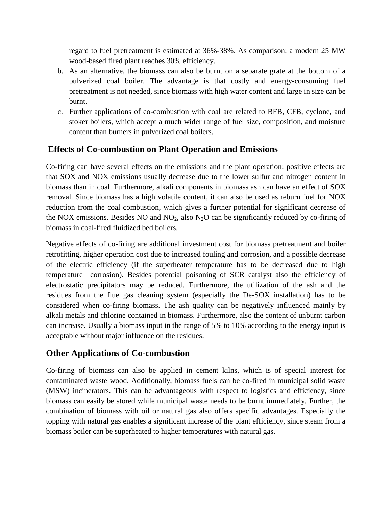regard to fuel pretreatment is estimated at 36%-38%. As comparison: a modern 25 MW wood-based fired plant reaches 30% efficiency.

- b. As an alternative, the biomass can also be burnt on a separate grate at the bottom of a pulverized coal boiler. The advantage is that costly and energy-consuming fuel pretreatment is not needed, since biomass with high water content and large in size can be burnt.
- c. Further applications of co-combustion with coal are related to BFB, CFB, cyclone, and stoker boilers, which accept a much wider range of fuel size, composition, and moisture content than burners in pulverized coal boilers.

# **Effects of Co-combustion on Plant Operation and Emissions**

Co-firing can have several effects on the emissions and the plant operation: positive effects are that SOX and NOX emissions usually decrease due to the lower sulfur and nitrogen content in biomass than in coal. Furthermore, alkali components in biomass ash can have an effect of SOX removal. Since biomass has a high volatile content, it can also be used as reburn fuel for NOX reduction from the coal combustion, which gives a further potential for significant decrease of the NOX emissions. Besides NO and  $NO<sub>2</sub>$ , also  $N<sub>2</sub>O$  can be significantly reduced by co-firing of biomass in coal-fired fluidized bed boilers.

Negative effects of co-firing are additional investment cost for biomass pretreatment and boiler retrofitting, higher operation cost due to increased fouling and corrosion, and a possible decrease of the electric efficiency (if the superheater temperature has to be decreased due to high temperature corrosion). Besides potential poisoning of SCR catalyst also the efficiency of electrostatic precipitators may be reduced. Furthermore, the utilization of the ash and the residues from the flue gas cleaning system (especially the De-SOX installation) has to be considered when co-firing biomass. The ash quality can be negatively influenced mainly by alkali metals and chlorine contained in biomass. Furthermore, also the content of unburnt carbon can increase. Usually a biomass input in the range of 5% to 10% according to the energy input is acceptable without major influence on the residues.

# **Other Applications of Co-combustion**

Co-firing of biomass can also be applied in cement kilns, which is of special interest for contaminated waste wood. Additionally, biomass fuels can be co-fired in municipal solid waste (MSW) incinerators. This can be advantageous with respect to logistics and efficiency, since biomass can easily be stored while municipal waste needs to be burnt immediately. Further, the combination of biomass with oil or natural gas also offers specific advantages. Especially the topping with natural gas enables a significant increase of the plant efficiency, since steam from a biomass boiler can be superheated to higher temperatures with natural gas.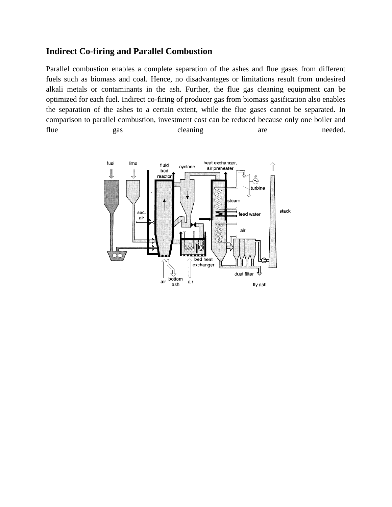### **Indirect Co-firing and Parallel Combustion**

Parallel combustion enables a complete separation of the ashes and flue gases from different fuels such as biomass and coal. Hence, no disadvantages or limitations result from undesired alkali metals or contaminants in the ash. Further, the flue gas cleaning equipment can be optimized for each fuel. Indirect co-firing of producer gas from biomass gasification also enables the separation of the ashes to a certain extent, while the flue gases cannot be separated. In comparison to parallel combustion, investment cost can be reduced because only one boiler and flue gas cleaning are needed.

![](_page_8_Figure_2.jpeg)